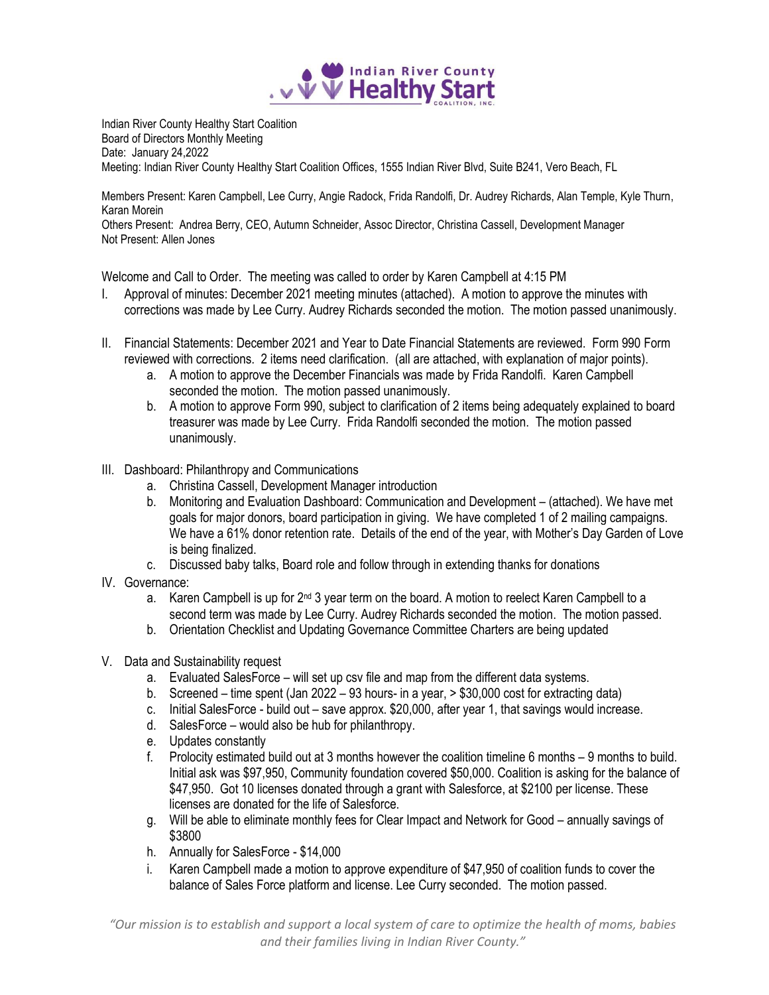

Indian River County Healthy Start Coalition Board of Directors Monthly Meeting Date: January 24,2022 Meeting: Indian River County Healthy Start Coalition Offices, 1555 Indian River Blvd, Suite B241, Vero Beach, FL

Members Present: Karen Campbell, Lee Curry, Angie Radock, Frida Randolfi, Dr. Audrey Richards, Alan Temple, Kyle Thurn, Karan Morein Others Present: Andrea Berry, CEO, Autumn Schneider, Assoc Director, Christina Cassell, Development Manager

Not Present: Allen Jones

Welcome and Call to Order. The meeting was called to order by Karen Campbell at 4:15 PM

- I. Approval of minutes: December 2021 meeting minutes (attached). A motion to approve the minutes with corrections was made by Lee Curry. Audrey Richards seconded the motion. The motion passed unanimously.
- II. Financial Statements: December 2021 and Year to Date Financial Statements are reviewed. Form 990 Form reviewed with corrections. 2 items need clarification. (all are attached, with explanation of major points).
	- a. A motion to approve the December Financials was made by Frida Randolfi. Karen Campbell seconded the motion. The motion passed unanimously.
	- b. A motion to approve Form 990, subject to clarification of 2 items being adequately explained to board treasurer was made by Lee Curry. Frida Randolfi seconded the motion. The motion passed unanimously.
- III. Dashboard: Philanthropy and Communications
	- a. Christina Cassell, Development Manager introduction
	- b. Monitoring and Evaluation Dashboard: Communication and Development (attached). We have met goals for major donors, board participation in giving. We have completed 1 of 2 mailing campaigns. We have a 61% donor retention rate. Details of the end of the year, with Mother's Day Garden of Love is being finalized.
	- c. Discussed baby talks, Board role and follow through in extending thanks for donations
- IV. Governance:
	- a. Karen Campbell is up for  $2<sup>nd</sup> 3$  year term on the board. A motion to reelect Karen Campbell to a second term was made by Lee Curry. Audrey Richards seconded the motion. The motion passed.
	- b. Orientation Checklist and Updating Governance Committee Charters are being updated
- V. Data and Sustainability request
	- a. Evaluated SalesForce will set up csv file and map from the different data systems.
	- b. Screened time spent (Jan 2022 93 hours- in a year, > \$30,000 cost for extracting data)
	- c. Initial SalesForce build out save approx. \$20,000, after year 1, that savings would increase.
	- d. SalesForce would also be hub for philanthropy.
	- e. Updates constantly
	- f. Prolocity estimated build out at 3 months however the coalition timeline 6 months 9 months to build. Initial ask was \$97,950, Community foundation covered \$50,000. Coalition is asking for the balance of \$47,950. Got 10 licenses donated through a grant with Salesforce, at \$2100 per license. These licenses are donated for the life of Salesforce.
	- g. Will be able to eliminate monthly fees for Clear Impact and Network for Good annually savings of \$3800
	- h. Annually for SalesForce \$14,000
	- i. Karen Campbell made a motion to approve expenditure of \$47,950 of coalition funds to cover the balance of Sales Force platform and license. Lee Curry seconded. The motion passed.